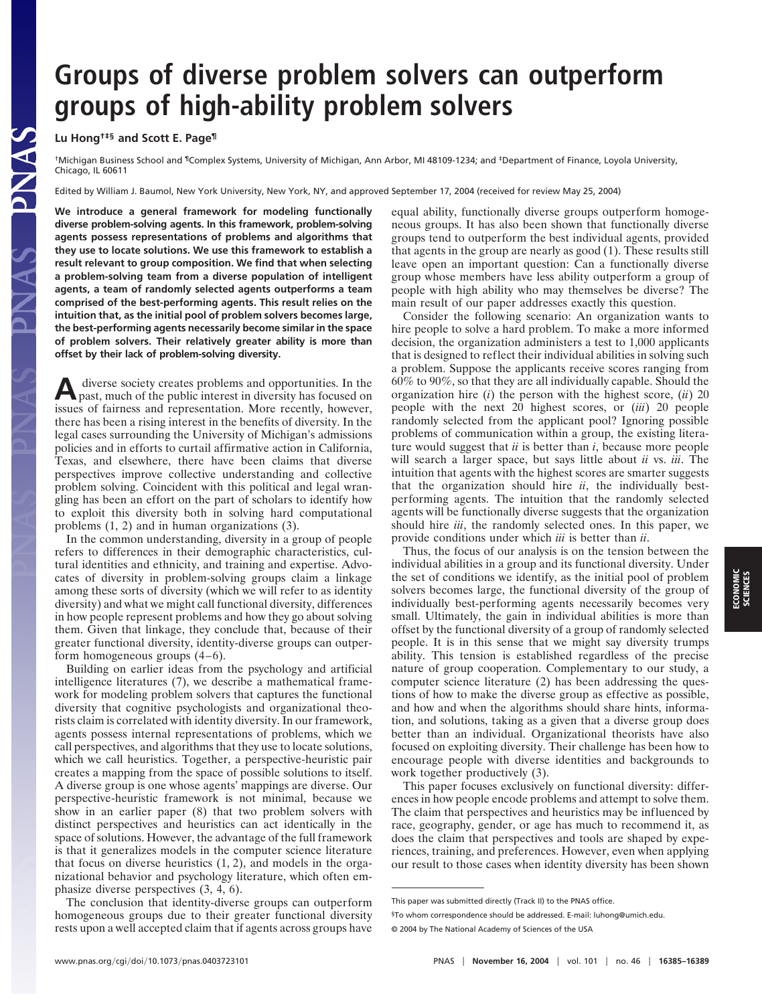# **Groups of diverse problem solvers can outperform groups of high-ability problem solvers**

# **Lu Hong†‡§ and Scott E. Page¶**

ANAS

†Michigan Business School and ¶Complex Systems, University of Michigan, Ann Arbor, MI 48109-1234; and ‡Department of Finance, Loyola University, Chicago, IL 60611

Edited by William J. Baumol, New York University, New York, NY, and approved September 17, 2004 (received for review May 25, 2004)

**We introduce a general framework for modeling functionally diverse problem-solving agents. In this framework, problem-solving agents possess representations of problems and algorithms that they use to locate solutions. We use this framework to establish a result relevant to group composition. We find that when selecting a problem-solving team from a diverse population of intelligent agents, a team of randomly selected agents outperforms a team comprised of the best-performing agents. This result relies on the intuition that, as the initial pool of problem solvers becomes large, the best-performing agents necessarily become similar in the space of problem solvers. Their relatively greater ability is more than offset by their lack of problem-solving diversity.**

A diverse society creates problems and opportunities. In the past, much of the public interest in diversity has focused on issues of fairness and representation. More recently, however, there has been a rising interest in the benefits of diversity. In the legal cases surrounding the University of Michigan's admissions policies and in efforts to curtail affirmative action in California, Texas, and elsewhere, there have been claims that diverse perspectives improve collective understanding and collective problem solving. Coincident with this political and legal wrangling has been an effort on the part of scholars to identify how to exploit this diversity both in solving hard computational problems (1, 2) and in human organizations (3).

In the common understanding, diversity in a group of people refers to differences in their demographic characteristics, cultural identities and ethnicity, and training and expertise. Advocates of diversity in problem-solving groups claim a linkage among these sorts of diversity (which we will refer to as identity diversity) and what we might call functional diversity, differences in how people represent problems and how they go about solving them. Given that linkage, they conclude that, because of their greater functional diversity, identity-diverse groups can outperform homogeneous groups (4–6).

Building on earlier ideas from the psychology and artificial intelligence literatures (7), we describe a mathematical framework for modeling problem solvers that captures the functional diversity that cognitive psychologists and organizational theorists claim is correlated with identity diversity. In our framework, agents possess internal representations of problems, which we call perspectives, and algorithms that they use to locate solutions, which we call heuristics. Together, a perspective-heuristic pair creates a mapping from the space of possible solutions to itself. A diverse group is one whose agents' mappings are diverse. Our perspective-heuristic framework is not minimal, because we show in an earlier paper (8) that two problem solvers with distinct perspectives and heuristics can act identically in the space of solutions. However, the advantage of the full framework is that it generalizes models in the computer science literature that focus on diverse heuristics (1, 2), and models in the organizational behavior and psychology literature, which often emphasize diverse perspectives (3, 4, 6).

The conclusion that identity-diverse groups can outperform homogeneous groups due to their greater functional diversity rests upon a well accepted claim that if agents across groups have equal ability, functionally diverse groups outperform homogeneous groups. It has also been shown that functionally diverse groups tend to outperform the best individual agents, provided that agents in the group are nearly as good (1). These results still leave open an important question: Can a functionally diverse group whose members have less ability outperform a group of people with high ability who may themselves be diverse? The main result of our paper addresses exactly this question.

Consider the following scenario: An organization wants to hire people to solve a hard problem. To make a more informed decision, the organization administers a test to 1,000 applicants that is designed to reflect their individual abilities in solving such a problem. Suppose the applicants receive scores ranging from 60% to 90%, so that they are all individually capable. Should the organization hire (*i*) the person with the highest score, (*ii*) 20 people with the next 20 highest scores, or (*iii*) 20 people randomly selected from the applicant pool? Ignoring possible problems of communication within a group, the existing literature would suggest that *ii* is better than *i*, because more people will search a larger space, but says little about *ii* vs. *iii*. The intuition that agents with the highest scores are smarter suggests that the organization should hire *ii*, the individually bestperforming agents. The intuition that the randomly selected agents will be functionally diverse suggests that the organization should hire *iii*, the randomly selected ones. In this paper, we provide conditions under which *iii* is better than *ii*.

Thus, the focus of our analysis is on the tension between the individual abilities in a group and its functional diversity. Under the set of conditions we identify, as the initial pool of problem solvers becomes large, the functional diversity of the group of individually best-performing agents necessarily becomes very small. Ultimately, the gain in individual abilities is more than offset by the functional diversity of a group of randomly selected people. It is in this sense that we might say diversity trumps ability. This tension is established regardless of the precise nature of group cooperation. Complementary to our study, a computer science literature (2) has been addressing the questions of how to make the diverse group as effective as possible, and how and when the algorithms should share hints, information, and solutions, taking as a given that a diverse group does better than an individual. Organizational theorists have also focused on exploiting diversity. Their challenge has been how to encourage people with diverse identities and backgrounds to work together productively (3).

This paper focuses exclusively on functional diversity: differences in how people encode problems and attempt to solve them. The claim that perspectives and heuristics may be influenced by race, geography, gender, or age has much to recommend it, as does the claim that perspectives and tools are shaped by experiences, training, and preferences. However, even when applying our result to those cases when identity diversity has been shown

This paper was submitted directly (Track II) to the PNAS office.

<sup>§</sup>To whom correspondence should be addressed. E-mail: luhong@umich.edu. © 2004 by The National Academy of Sciences of the USA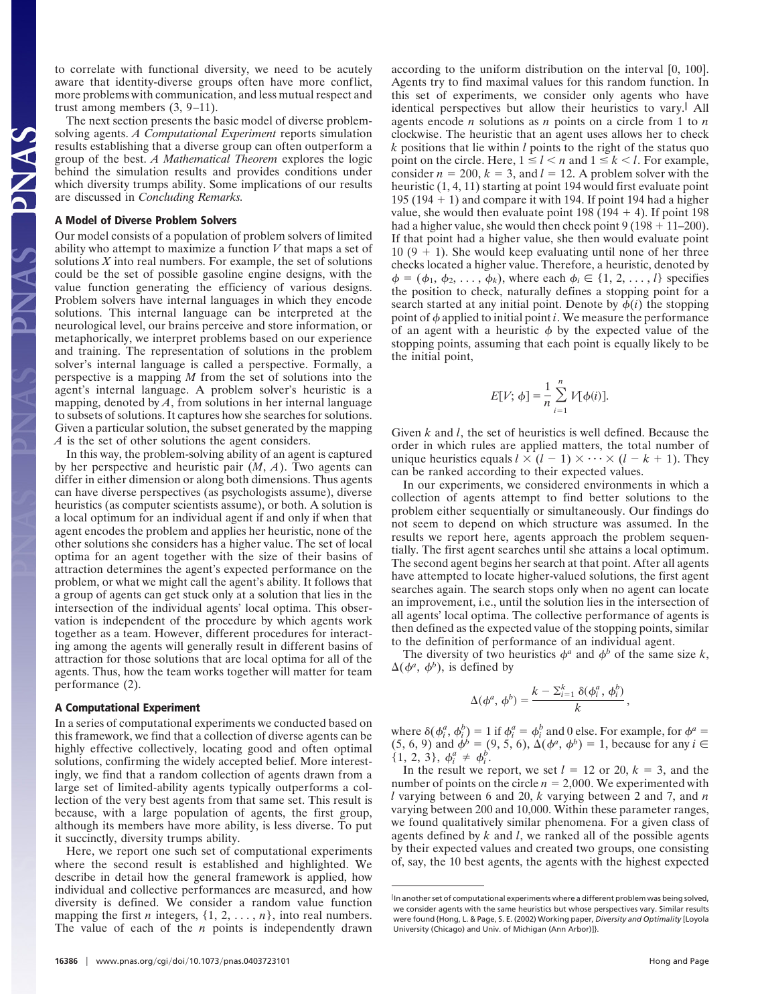to correlate with functional diversity, we need to be acutely aware that identity-diverse groups often have more conflict, more problems with communication, and less mutual respect and trust among members (3, 9–11).

The next section presents the basic model of diverse problemsolving agents. *A Computational Experiment* reports simulation results establishing that a diverse group can often outperform a group of the best. *A Mathematical Theorem* explores the logic behind the simulation results and provides conditions under which diversity trumps ability. Some implications of our results are discussed in *Concluding Remarks.*

#### **A Model of Diverse Problem Solvers**

Our model consists of a population of problem solvers of limited ability who attempt to maximize a function *V* that maps a set of solutions  $X$  into real numbers. For example, the set of solutions could be the set of possible gasoline engine designs, with the value function generating the efficiency of various designs. Problem solvers have internal languages in which they encode solutions. This internal language can be interpreted at the neurological level, our brains perceive and store information, or metaphorically, we interpret problems based on our experience and training. The representation of solutions in the problem solver's internal language is called a perspective. Formally, a perspective is a mapping *M* from the set of solutions into the agent's internal language. A problem solver's heuristic is a mapping, denoted by *A*, from solutions in her internal language to subsets of solutions. It captures how she searches for solutions. Given a particular solution, the subset generated by the mapping *A* is the set of other solutions the agent considers.

In this way, the problem-solving ability of an agent is captured by her perspective and heuristic pair (*M*, *A*). Two agents can differ in either dimension or along both dimensions. Thus agents can have diverse perspectives (as psychologists assume), diverse heuristics (as computer scientists assume), or both. A solution is a local optimum for an individual agent if and only if when that agent encodes the problem and applies her heuristic, none of the other solutions she considers has a higher value. The set of local optima for an agent together with the size of their basins of attraction determines the agent's expected performance on the problem, or what we might call the agent's ability. It follows that a group of agents can get stuck only at a solution that lies in the intersection of the individual agents' local optima. This observation is independent of the procedure by which agents work together as a team. However, different procedures for interacting among the agents will generally result in different basins of attraction for those solutions that are local optima for all of the agents. Thus, how the team works together will matter for team performance (2).

## **A Computational Experiment**

In a series of computational experiments we conducted based on this framework, we find that a collection of diverse agents can be highly effective collectively, locating good and often optimal solutions, confirming the widely accepted belief. More interestingly, we find that a random collection of agents drawn from a large set of limited-ability agents typically outperforms a collection of the very best agents from that same set. This result is because, with a large population of agents, the first group, although its members have more ability, is less diverse. To put it succinctly, diversity trumps ability.

Here, we report one such set of computational experiments where the second result is established and highlighted. We describe in detail how the general framework is applied, how individual and collective performances are measured, and how diversity is defined. We consider a random value function mapping the first *n* integers,  $\{1, 2, \ldots, n\}$ , into real numbers. The value of each of the *n* points is independently drawn according to the uniform distribution on the interval [0, 100]. Agents try to find maximal values for this random function. In this set of experiments, we consider only agents who have identical perspectives but allow their heuristics to vary.<sup>||</sup> All agents encode *n* solutions as *n* points on a circle from 1 to *n* clockwise. The heuristic that an agent uses allows her to check *k* positions that lie within *l* points to the right of the status quo point on the circle. Here,  $1 \le l < n$  and  $1 \le k < l$ . For example, consider  $n = 200$ ,  $k = 3$ , and  $l = 12$ . A problem solver with the heuristic (1, 4, 11) starting at point 194 would first evaluate point 195 (194  $+$  1) and compare it with 194. If point 194 had a higher value, she would then evaluate point  $198 (194 + 4)$ . If point  $198$ had a higher value, she would then check point  $9(198 + 11-200)$ . If that point had a higher value, she then would evaluate point  $10 (9 + 1)$ . She would keep evaluating until none of her three checks located a higher value. Therefore, a heuristic, denoted by  $\phi = (\phi_1, \phi_2, \ldots, \phi_k)$ , where each  $\phi_i \in \{1, 2, \ldots, l\}$  specifies the position to check, naturally defines a stopping point for a search started at any initial point. Denote by  $\phi(i)$  the stopping point of  $\phi$  applied to initial point *i*. We measure the performance of an agent with a heuristic  $\phi$  by the expected value of the stopping points, assuming that each point is equally likely to be the initial point,

$$
E[V; \phi] = \frac{1}{n} \sum_{i=1}^{n} V[\phi(i)].
$$

Given *k* and *l*, the set of heuristics is well defined. Because the order in which rules are applied matters, the total number of unique heuristics equals  $l \times (l - 1) \times \cdots \times (l - k + 1)$ . They can be ranked according to their expected values.

In our experiments, we considered environments in which a collection of agents attempt to find better solutions to the problem either sequentially or simultaneously. Our findings do not seem to depend on which structure was assumed. In the results we report here, agents approach the problem sequentially. The first agent searches until she attains a local optimum. The second agent begins her search at that point. After all agents have attempted to locate higher-valued solutions, the first agent searches again. The search stops only when no agent can locate an improvement, i.e., until the solution lies in the intersection of all agents' local optima. The collective performance of agents is then defined as the expected value of the stopping points, similar to the definition of performance of an individual agent.

The diversity of two heuristics  $\phi^a$  and  $\phi^b$  of the same size *k*,  $\Delta(\phi^a, \phi^b)$ , is defined by

$$
\Delta(\phi^a, \phi^b) = \frac{k - \sum_{i=1}^k \delta(\phi_i^a, \phi_i^b)}{k},
$$

where  $\delta(\phi_i^a, \phi_i^b) = 1$  if  $\phi_i^a = \phi_i^b$  and 0 else. For example, for  $\phi^a =$  $(5, 6, 9)$  and  $\phi^b = (9, 5, 6), \Delta(\phi^a, \phi^b) = 1$ , because for any  $i \in$  $\{1, 2, 3\}, \phi_i^a \neq \phi_i^b.$ 

In the result we report, we set  $l = 12$  or 20,  $k = 3$ , and the number of points on the circle  $n = 2,000$ . We experimented with *l* varying between 6 and 20, *k* varying between 2 and 7, and *n* varying between 200 and 10,000. Within these parameter ranges, we found qualitatively similar phenomena. For a given class of agents defined by *k* and *l*, we ranked all of the possible agents by their expected values and created two groups, one consisting of, say, the 10 best agents, the agents with the highest expected

 $\parallel$  In another set of computational experiments where a different problem was being solved. we consider agents with the same heuristics but whose perspectives vary. Similar results were found {Hong, L. & Page, S. E. (2002) Working paper, *Diversity and Optimality* [Loyola University (Chicago) and Univ. of Michigan (Ann Arbor)]}.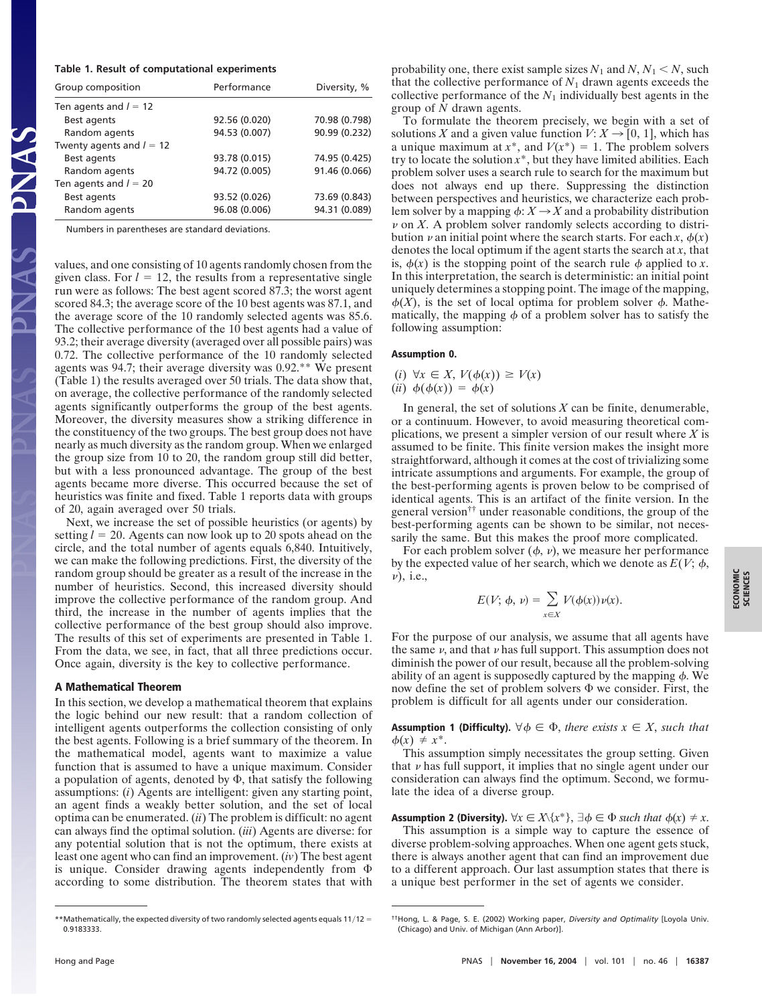#### **Table 1. Result of computational experiments**

| Group composition          | Performance   | Diversity, %  |
|----------------------------|---------------|---------------|
| Ten agents and $l = 12$    |               |               |
| Best agents                | 92.56 (0.020) | 70.98 (0.798) |
| Random agents              | 94.53 (0.007) | 90.99 (0.232) |
| Twenty agents and $l = 12$ |               |               |
| Best agents                | 93.78 (0.015) | 74.95 (0.425) |
| Random agents              | 94.72 (0.005) | 91.46 (0.066) |
| Ten agents and $l = 20$    |               |               |
| Best agents                | 93.52 (0.026) | 73.69 (0.843) |
| Random agents              | 96.08 (0.006) | 94.31 (0.089) |

Numbers in parentheses are standard deviations.

values, and one consisting of 10 agents randomly chosen from the given class. For  $l = 12$ , the results from a representative single run were as follows: The best agent scored 87.3; the worst agent scored 84.3; the average score of the 10 best agents was 87.1, and the average score of the 10 randomly selected agents was 85.6. The collective performance of the 10 best agents had a value of 93.2; their average diversity (averaged over all possible pairs) was 0.72. The collective performance of the 10 randomly selected agents was 94.7; their average diversity was 0.92.\*\* We present (Table 1) the results averaged over 50 trials. The data show that, on average, the collective performance of the randomly selected agents significantly outperforms the group of the best agents. Moreover, the diversity measures show a striking difference in the constituency of the two groups. The best group does not have nearly as much diversity as the random group. When we enlarged the group size from 10 to 20, the random group still did better, but with a less pronounced advantage. The group of the best agents became more diverse. This occurred because the set of heuristics was finite and fixed. Table 1 reports data with groups of 20, again averaged over 50 trials.

Next, we increase the set of possible heuristics (or agents) by setting  $l = 20$ . Agents can now look up to 20 spots ahead on the circle, and the total number of agents equals 6,840. Intuitively, we can make the following predictions. First, the diversity of the random group should be greater as a result of the increase in the number of heuristics. Second, this increased diversity should improve the collective performance of the random group. And third, the increase in the number of agents implies that the collective performance of the best group should also improve. The results of this set of experiments are presented in Table 1. From the data, we see, in fact, that all three predictions occur. Once again, diversity is the key to collective performance.

#### **A Mathematical Theorem**

In this section, we develop a mathematical theorem that explains the logic behind our new result: that a random collection of intelligent agents outperforms the collection consisting of only the best agents. Following is a brief summary of the theorem. In the mathematical model, agents want to maximize a value function that is assumed to have a unique maximum. Consider a population of agents, denoted by  $\Phi$ , that satisfy the following assumptions: (*i*) Agents are intelligent: given any starting point, an agent finds a weakly better solution, and the set of local optima can be enumerated. (*ii*) The problem is difficult: no agent can always find the optimal solution. (*iii*) Agents are diverse: for any potential solution that is not the optimum, there exists at least one agent who can find an improvement. (*iv*) The best agent is unique. Consider drawing agents independently from  $\Phi$ according to some distribution. The theorem states that with

probability one, there exist sample sizes  $N_1$  and  $N, N_1 \le N$ , such that the collective performance of  $N_1$  drawn agents exceeds the collective performance of the  $N_1$  individually best agents in the group of *N* drawn agents.

To formulate the theorem precisely, we begin with a set of solutions *X* and a given value function  $V: X \rightarrow [0, 1]$ , which has a unique maximum at  $x^*$ , and  $V(x^*) = 1$ . The problem solvers try to locate the solution  $x^*$ , but they have limited abilities. Each problem solver uses a search rule to search for the maximum but does not always end up there. Suppressing the distinction between perspectives and heuristics, we characterize each problem solver by a mapping  $\phi: X \to X$  and a probability distribution  $\nu$  on *X*. A problem solver randomly selects according to distribution  $\nu$  an initial point where the search starts. For each *x*,  $\phi(x)$ denotes the local optimum if the agent starts the search at *x*, that is,  $\phi(x)$  is the stopping point of the search rule  $\phi$  applied to *x*. In this interpretation, the search is deterministic: an initial point uniquely determines a stopping point. The image of the mapping,  $\phi(X)$ , is the set of local optima for problem solver  $\phi$ . Mathematically, the mapping  $\phi$  of a problem solver has to satisfy the following assumption:

## **Assumption 0.**

(i) 
$$
\forall x \in X, V(\phi(x)) \ge V(x)
$$
  
(ii)  $\phi(\phi(x)) = \phi(x)$ 

In general, the set of solutions *X* can be finite, denumerable, or a continuum. However, to avoid measuring theoretical complications, we present a simpler version of our result where *X* is assumed to be finite. This finite version makes the insight more straightforward, although it comes at the cost of trivializing some intricate assumptions and arguments. For example, the group of the best-performing agents is proven below to be comprised of identical agents. This is an artifact of the finite version. In the general version†† under reasonable conditions, the group of the best-performing agents can be shown to be similar, not necessarily the same. But this makes the proof more complicated.

For each problem solver  $(\phi, \nu)$ , we measure her performance by the expected value of her search, which we denote as  $E(V; \phi)$ ,  $\nu$ ), i.e.,

$$
E(V; \phi, \nu) = \sum_{x \in X} V(\phi(x)) \nu(x).
$$

For the purpose of our analysis, we assume that all agents have the same  $\nu$ , and that  $\nu$  has full support. This assumption does not diminish the power of our result, because all the problem-solving ability of an agent is supposedly captured by the mapping  $\phi$ . We now define the set of problem solvers  $\Phi$  we consider. First, the problem is difficult for all agents under our consideration.

**Assumption 1 (Difficulty).**  $\forall \phi \in \Phi$ , there exists  $x \in X$ , such that  $\phi(x) \neq x^*$ .

This assumption simply necessitates the group setting. Given that  $\nu$  has full support, it implies that no single agent under our consideration can always find the optimum. Second, we formulate the idea of a diverse group.

Assumption 2 (Diversity).  $\forall x \in X \ \{x^*\}, \ \exists \phi \in \Phi \ such \ that \ \phi(x) \neq x$ . This assumption is a simple way to capture the essence of diverse problem-solving approaches. When one agent gets stuck, there is always another agent that can find an improvement due to a different approach. Our last assumption states that there is a unique best performer in the set of agents we consider.

<sup>\*\*</sup>Mathematically, the expected diversity of two randomly selected agents equals  $11/12$  = 0.9183333.

<sup>††</sup>Hong, L. & Page, S. E. (2002) Working paper, *Diversity and Optimality* [Loyola Univ. (Chicago) and Univ. of Michigan (Ann Arbor)].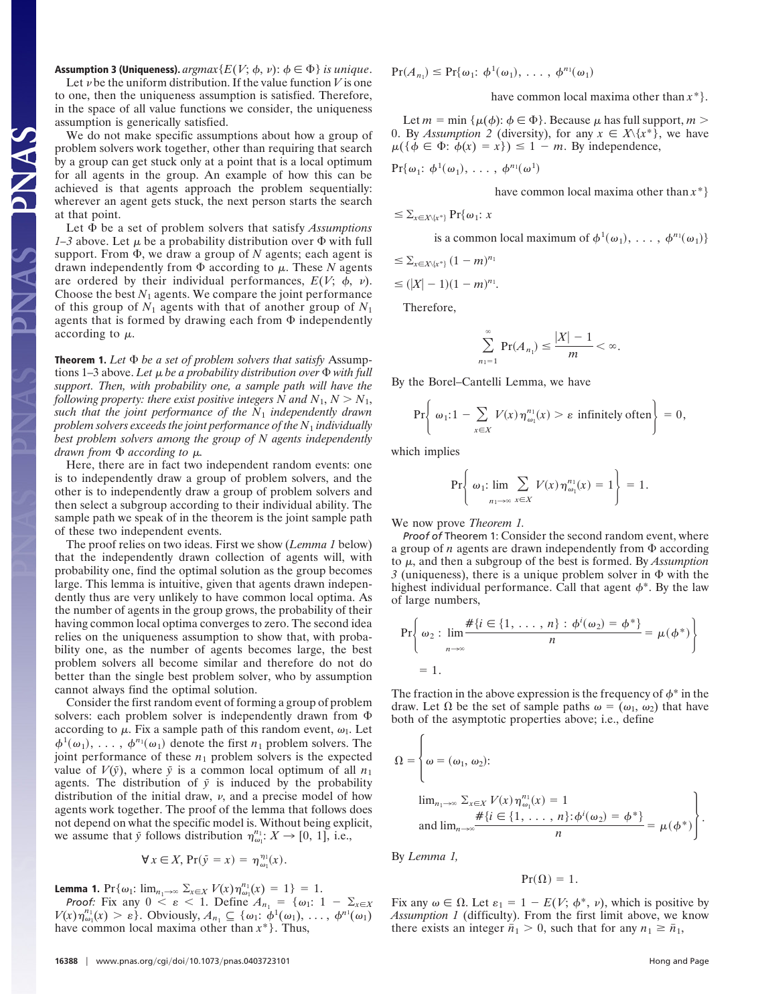**Assumption 3 (Uniqueness).**  $argmax\{E(V; \phi, v): \phi \in \Phi\}$  is unique.

Let  $\nu$  be the uniform distribution. If the value function  $V$  is one to one, then the uniqueness assumption is satisfied. Therefore, in the space of all value functions we consider, the uniqueness assumption is generically satisfied.

We do not make specific assumptions about how a group of problem solvers work together, other than requiring that search by a group can get stuck only at a point that is a local optimum for all agents in the group. An example of how this can be achieved is that agents approach the problem sequentially: wherever an agent gets stuck, the next person starts the search at that point.

Let  $\Phi$  be a set of problem solvers that satisfy *Assumptions 1–3* above. Let  $\mu$  be a probability distribution over  $\Phi$  with full support. From  $\Phi$ , we draw a group of N agents; each agent is drawn independently from  $\Phi$  according to  $\mu$ . These *N* agents are ordered by their individual performances,  $E(V; \phi, \nu)$ . Choose the best  $N_1$  agents. We compare the joint performance of this group of  $N_1$  agents with that of another group of  $N_1$ agents that is formed by drawing each from  $\Phi$  independently according to  $\mu$ .

**Theorem 1.** *Let be a set of problem solvers that satisfy* Assumptions  $1-3$  above. Let  $\mu$  be a probability distribution over  $\Phi$  with full *support. Then, with probability one, a sample path will have the following property: there exist positive integers N and*  $N_1$ *,*  $N > N_1$ *, such that the joint performance of the N*<sup>1</sup> *independently drawn problem solvers exceeds the joint performance of the N*<sup>1</sup> *individually best problem solvers among the group of N agents independently drawn from*  $\Phi$  *according to*  $\mu$ *.* 

Here, there are in fact two independent random events: one is to independently draw a group of problem solvers, and the other is to independently draw a group of problem solvers and then select a subgroup according to their individual ability. The sample path we speak of in the theorem is the joint sample path of these two independent events.

The proof relies on two ideas. First we show (*Lemma 1* below) that the independently drawn collection of agents will, with probability one, find the optimal solution as the group becomes large. This lemma is intuitive, given that agents drawn independently thus are very unlikely to have common local optima. As the number of agents in the group grows, the probability of their having common local optima converges to zero. The second idea relies on the uniqueness assumption to show that, with probability one, as the number of agents becomes large, the best problem solvers all become similar and therefore do not do better than the single best problem solver, who by assumption cannot always find the optimal solution.

Consider the first random event of forming a group of problem solvers: each problem solver is independently drawn from  $\Phi$ according to  $\mu$ . Fix a sample path of this random event,  $\omega_1$ . Let  $\phi^1(\omega_1), \ldots, \phi^{n_1}(\omega_1)$  denote the first  $n_1$  problem solvers. The joint performance of these  $n_1$  problem solvers is the expected value of  $V(\tilde{y})$ , where  $\tilde{y}$  is a common local optimum of all  $n_1$ agents. The distribution of  $\tilde{y}$  is induced by the probability distribution of the initial draw,  $\nu$ , and a precise model of how agents work together. The proof of the lemma that follows does not depend on what the specific model is. Without being explicit, we assume that  $\tilde{y}$  follows distribution  $\eta_{\omega_1}: X \to [0, 1]$ , i.e.,

$$
\forall x \in X, \Pr(\tilde{y} = x) = \eta_{\omega_1}^{\eta_1}(x).
$$

**Lemma 1.**  $Pr{\omega_1: \lim_{n_1 \to \infty} \sum_{x \in X} V(x) \eta_{\omega_1}^{n_1}(x) = 1} = 1.$ 

*Proof:* Fix any  $0 \le \varepsilon \le 1$ . Define  $A_{n_1} = \{\omega_1: 1 - \Sigma_{x \in X}\}$  $V(x)\eta_{\omega_1}^{n_1}(x) > \varepsilon$ . Obviously,  $A_{n_1} \subseteq {\omega_1: \phi^1(\omega_1), \dots, \phi^{n_1}(\omega_1)}$ have common local maxima other than *x*\*}. Thus,

$$
Pr(A_{n_1}) \leq Pr\{\omega_1: \phi^1(\omega_1), \ldots, \phi^{n_1}(\omega_1)
$$

have common local maxima other than  $x^*$ .

Let  $m = \min \{ \mu(\phi) : \phi \in \Phi \}$ . Because  $\mu$  has full support,  $m >$ 0. By *Assumption 2* (diversity), for any  $x \in X\{x^*\}$ , we have  $\mu({\phi \in \Phi: \phi(x) = x}) \leq 1 - m$ . By independence,

$$
Pr{\omega_1: \phi^1(\omega_1), \ldots, \phi^{n_1}(\omega^1)}
$$

have common local maxima other than *x*\*

$$
\leq \sum_{x \in X \setminus \{x^*\}} \Pr\{\omega_1 : x
$$

is a common local maximum of 
$$
\phi^1(\omega_1), \ldots, \phi^{n_1}(\omega_1)
$$

$$
\leq \sum_{x \in X \setminus \{x^*\}} (1 - m)^{n_1}
$$
  

$$
\leq (|X| - 1)(1 - m)^{n_1}.
$$

Therefore,

$$
\sum_{n=1}^{\infty} \Pr(A_{n_1}) \le \frac{|X| - 1}{m} < \infty.
$$

By the Borel–Cantelli Lemma, we have

$$
\Pr\left\{\omega_1: 1 - \sum_{x \in X} V(x) \eta^{n_1}_{\omega_1}(x) > \varepsilon \text{ infinitely often}\right\} = 0,
$$

which implies

$$
\Pr\left\{\omega_1: \lim_{n_1 \to \infty} \sum_{x \in X} V(x) \eta^{n_1}_{\omega_1}(x) = 1\right\} = 1.
$$

We now prove *Theorem 1.*

*Proof of* Theorem 1: Consider the second random event, where a group of  $n$  agents are drawn independently from  $\Phi$  according to  $\mu$ , and then a subgroup of the best is formed. By *Assumption*  $\beta$  (uniqueness), there is a unique problem solver in  $\Phi$  with the highest individual performance. Call that agent  $\phi^*$ . By the law of large numbers,

$$
\Pr\left\{\omega_2: \lim_{n\to\infty}\frac{\#\{i\in\{1,\dots,n\}:\phi^i(\omega_2)=\phi^*\}}{n}=\mu(\phi^*)\right\}
$$
  
= 1.

The fraction in the above expression is the frequency of  $\phi^*$  in the draw. Let  $\Omega$  be the set of sample paths  $\omega = (\omega_1, \omega_2)$  that have both of the asymptotic properties above; i.e., define

$$
\Omega = \left\{\omega = (\omega_1, \omega_2):
$$
  
\n
$$
\lim_{n_1 \to \infty} \sum_{x \in X} V(x) \eta_{\omega_1}^{n_1}(x) = 1
$$
  
\nand 
$$
\lim_{n \to \infty} \frac{\# \{i \in \{1, \dots, n\} : \phi^i(\omega_2) = \phi^* \}}{n} = \mu(\phi^*)\right\}.
$$

By *Lemma 1,*

$$
Pr(\Omega) = 1.
$$

Fix any  $\omega \in \Omega$ . Let  $\varepsilon_1 = 1 - E(V; \phi^*, \nu)$ , which is positive by *Assumption 1* (difficulty). From the first limit above, we know there exists an integer  $\bar{n}_1 > 0$ , such that for any  $n_1 \geq \bar{n}_1$ ,